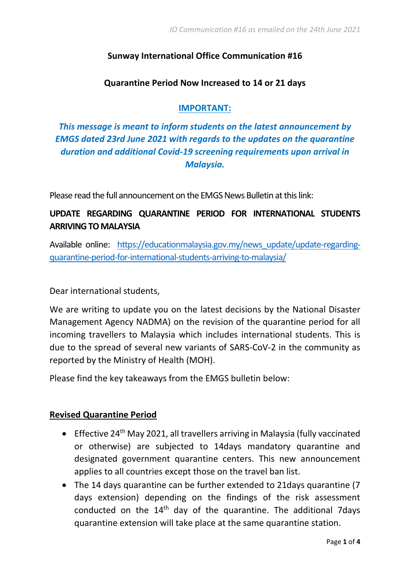## **Sunway International Office Communication #16**

## **Quarantine Period Now Increased to 14 or 21 days**

#### **IMPORTANT:**

*This message is meant to inform students on the latest announcement by EMGS dated 23rd June 2021 with regards to the updates on the quarantine duration and additional Covid-19 screening requirements upon arrival in Malaysia.* 

Please read the full announcement on the EMGS News Bulletin at this link:

# **UPDATE REGARDING QUARANTINE PERIOD FOR INTERNATIONAL STUDENTS ARRIVING TO MALAYSIA**

Available online: [https://educationmalaysia.gov.my/news\\_update/update-regarding](https://educationmalaysia.gov.my/news_update/update-regarding-quarantine-period-for-international-students-arriving-to-malaysia/)[quarantine-period-for-international-students-arriving-to-malaysia/](https://educationmalaysia.gov.my/news_update/update-regarding-quarantine-period-for-international-students-arriving-to-malaysia/)

Dear international students,

We are writing to update you on the latest decisions by the National Disaster Management Agency NADMA) on the revision of the quarantine period for all incoming travellers to Malaysia which includes international students. This is due to the spread of several new variants of SARS-CoV-2 in the community as reported by the Ministry of Health (MOH).

Please find the key takeaways from the EMGS bulletin below:

#### **Revised Quarantine Period**

- Effective 24<sup>th</sup> May 2021, all travellers arriving in Malaysia (fully vaccinated or otherwise) are subjected to 14days mandatory quarantine and designated government quarantine centers. This new announcement applies to all countries except those on the travel ban list.
- The 14 days quarantine can be further extended to 21days quarantine (7 days extension) depending on the findings of the risk assessment conducted on the  $14<sup>th</sup>$  day of the quarantine. The additional 7 days quarantine extension will take place at the same quarantine station.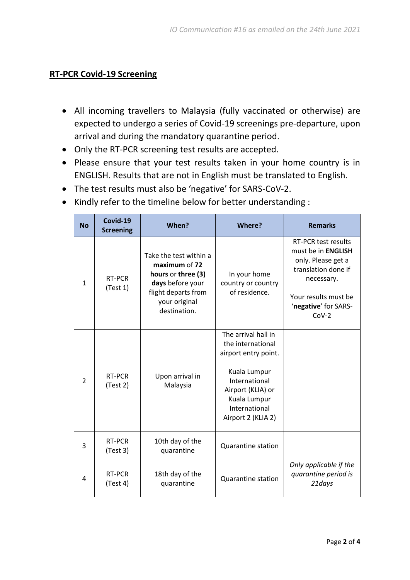## **RT-PCR Covid-19 Screening**

- All incoming travellers to Malaysia (fully vaccinated or otherwise) are expected to undergo a series of Covid-19 screenings pre-departure, upon arrival and during the mandatory quarantine period.
- Only the RT-PCR screening test results are accepted.
- Please ensure that your test results taken in your home country is in ENGLISH. Results that are not in English must be translated to English.
- The test results must also be 'negative' for SARS-CoV-2.
- Kindly refer to the timeline below for better understanding :

| <b>No</b>      | Covid-19<br><b>Screening</b> | When?                                                                                                                                     | Where?                                                                                                                                                                        | <b>Remarks</b>                                                                                                                                                                |
|----------------|------------------------------|-------------------------------------------------------------------------------------------------------------------------------------------|-------------------------------------------------------------------------------------------------------------------------------------------------------------------------------|-------------------------------------------------------------------------------------------------------------------------------------------------------------------------------|
| $\mathbf{1}$   | RT-PCR<br>(Test 1)           | Take the test within a<br>maximum of 72<br>hours or three (3)<br>days before your<br>flight departs from<br>your original<br>destination. | In your home<br>country or country<br>of residence.                                                                                                                           | <b>RT-PCR test results</b><br>must be in <b>ENGLISH</b><br>only. Please get a<br>translation done if<br>necessary.<br>Your results must be<br>'negative' for SARS-<br>$Cov-2$ |
| $\overline{2}$ | RT-PCR<br>(Test 2)           | Upon arrival in<br>Malaysia                                                                                                               | The arrival hall in<br>the international<br>airport entry point.<br>Kuala Lumpur<br>International<br>Airport (KLIA) or<br>Kuala Lumpur<br>International<br>Airport 2 (KLIA 2) |                                                                                                                                                                               |
| 3              | RT-PCR<br>(Test 3)           | 10th day of the<br>quarantine                                                                                                             | <b>Quarantine station</b>                                                                                                                                                     |                                                                                                                                                                               |
| 4              | RT-PCR<br>(Test 4)           | 18th day of the<br>quarantine                                                                                                             | <b>Quarantine station</b>                                                                                                                                                     | Only applicable if the<br>quarantine period is<br>21days                                                                                                                      |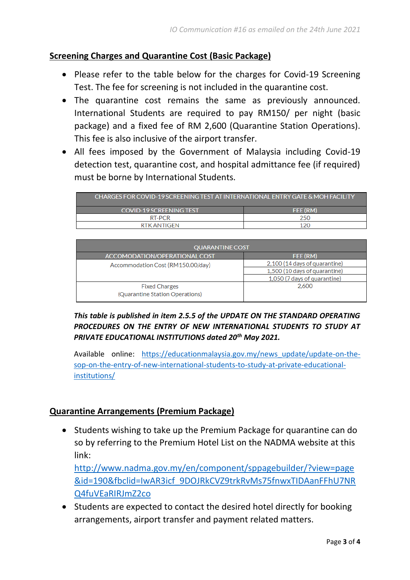## **Screening Charges and Quarantine Cost (Basic Package)**

- Please refer to the table below for the charges for Covid-19 Screening Test. The fee for screening is not included in the quarantine cost.
- The quarantine cost remains the same as previously announced. International Students are required to pay RM150/ per night (basic package) and a fixed fee of RM 2,600 (Quarantine Station Operations). This fee is also inclusive of the airport transfer.
- All fees imposed by the Government of Malaysia including Covid-19 detection test, quarantine cost, and hospital admittance fee (if required) must be borne by International Students.

| CHARGES FOR COVID-19 SCREENING TEST AT INTERNATIONAL ENTRY GATE & MOH FACILITY |                 |  |  |  |
|--------------------------------------------------------------------------------|-----------------|--|--|--|
| COVID-19 SCREENING TEST                                                        | <b>FEE (RM)</b> |  |  |  |
| RT-PCR                                                                         | 250             |  |  |  |
| RTK ANTIGEN                                                                    | 120             |  |  |  |
|                                                                                |                 |  |  |  |

| <b>QUARANTINE COST</b>            |                               |  |  |  |
|-----------------------------------|-------------------------------|--|--|--|
| ACCOMODATION/OPERATIONAL COST     | FEE (RM)                      |  |  |  |
| Accommodation Cost (RM150.00/day) | 2,100 (14 days of quarantine) |  |  |  |
|                                   | 1.500 (10 days of quarantine) |  |  |  |
|                                   | 1.050 (7 days of quarantine)  |  |  |  |
| <b>Fixed Charges</b>              | 2.600                         |  |  |  |
| (Quarantine Station Operations)   |                               |  |  |  |

*This table is published in item 2.5.5 of the UPDATE ON THE STANDARD OPERATING PROCEDURES ON THE ENTRY OF NEW INTERNATIONAL STUDENTS TO STUDY AT PRIVATE EDUCATIONAL INSTITUTIONS dated 20th May 2021.*

Available online: [https://educationmalaysia.gov.my/news\\_update/update-on-the](https://educationmalaysia.gov.my/news_update/update-on-the-sop-on-the-entry-of-new-international-students-to-study-at-private-educational-institutions/)[sop-on-the-entry-of-new-international-students-to-study-at-private-educational](https://educationmalaysia.gov.my/news_update/update-on-the-sop-on-the-entry-of-new-international-students-to-study-at-private-educational-institutions/)[institutions/](https://educationmalaysia.gov.my/news_update/update-on-the-sop-on-the-entry-of-new-international-students-to-study-at-private-educational-institutions/)

## **Quarantine Arrangements (Premium Package)**

• Students wishing to take up the Premium Package for quarantine can do so by referring to the Premium Hotel List on the NADMA website at this link:

[http://www.nadma.gov.my/en/component/sppagebuilder/?view=page](http://www.nadma.gov.my/en/component/sppagebuilder/?view=page&id=190&fbclid=IwAR3icf_9DOJRkCVZ9trkRvMs75fnwxTIDAanFFhU7NRQ4fuVEaRIRJmZ2co) [&id=190&fbclid=IwAR3icf\\_9DOJRkCVZ9trkRvMs75fnwxTIDAanFFhU7NR](http://www.nadma.gov.my/en/component/sppagebuilder/?view=page&id=190&fbclid=IwAR3icf_9DOJRkCVZ9trkRvMs75fnwxTIDAanFFhU7NRQ4fuVEaRIRJmZ2co) [Q4fuVEaRIRJmZ2co](http://www.nadma.gov.my/en/component/sppagebuilder/?view=page&id=190&fbclid=IwAR3icf_9DOJRkCVZ9trkRvMs75fnwxTIDAanFFhU7NRQ4fuVEaRIRJmZ2co)

• Students are expected to contact the desired hotel directly for booking arrangements, airport transfer and payment related matters.